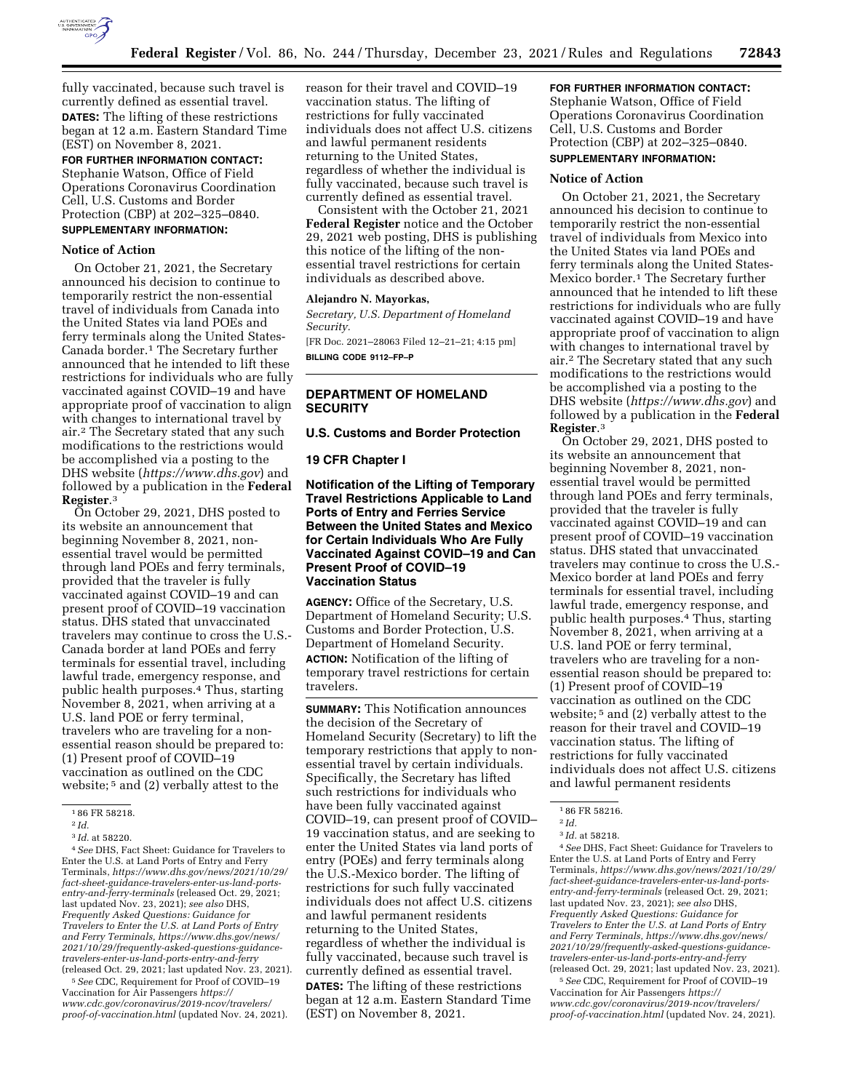

fully vaccinated, because such travel is currently defined as essential travel. **DATES:** The lifting of these restrictions began at 12 a.m. Eastern Standard Time (EST) on November 8, 2021.

## **FOR FURTHER INFORMATION CONTACT:**  Stephanie Watson, Office of Field Operations Coronavirus Coordination Cell, U.S. Customs and Border Protection (CBP) at 202–325–0840.

# **SUPPLEMENTARY INFORMATION:**

### **Notice of Action**

On October 21, 2021, the Secretary announced his decision to continue to temporarily restrict the non-essential travel of individuals from Canada into the United States via land POEs and ferry terminals along the United States-Canada border.1 The Secretary further announced that he intended to lift these restrictions for individuals who are fully vaccinated against COVID–19 and have appropriate proof of vaccination to align with changes to international travel by air.2 The Secretary stated that any such modifications to the restrictions would be accomplished via a posting to the DHS website (*<https://www.dhs.gov>*) and followed by a publication in the **Federal Register**.3

On October 29, 2021, DHS posted to its website an announcement that beginning November 8, 2021, nonessential travel would be permitted through land POEs and ferry terminals, provided that the traveler is fully vaccinated against COVID–19 and can present proof of COVID–19 vaccination status. DHS stated that unvaccinated travelers may continue to cross the U.S.- Canada border at land POEs and ferry terminals for essential travel, including lawful trade, emergency response, and public health purposes.4 Thus, starting November 8, 2021, when arriving at a U.S. land POE or ferry terminal, travelers who are traveling for a nonessential reason should be prepared to: (1) Present proof of COVID–19 vaccination as outlined on the CDC website; 5 and (2) verbally attest to the

4*See* DHS, Fact Sheet: Guidance for Travelers to Enter the U.S. at Land Ports of Entry and Ferry Terminals, *[https://www.dhs.gov/news/2021/10/29/](https://www.dhs.gov/news/2021/10/29/fact-sheet-guidance-travelers-enter-us-land-ports-entry-and-ferry-terminals)  [fact-sheet-guidance-travelers-enter-us-land-ports](https://www.dhs.gov/news/2021/10/29/fact-sheet-guidance-travelers-enter-us-land-ports-entry-and-ferry-terminals)[entry-and-ferry-terminals](https://www.dhs.gov/news/2021/10/29/fact-sheet-guidance-travelers-enter-us-land-ports-entry-and-ferry-terminals)* (released Oct. 29, 2021; last updated Nov. 23, 2021); *see also* DHS, *Frequently Asked Questions: Guidance for Travelers to Enter the U.S. at Land Ports of Entry and Ferry Terminals, [https://www.dhs.gov/news/](https://www.dhs.gov/news/2021/10/29/frequently-asked-questions-guidance-travelers-enter-us-land-ports-entry-and-ferry)  [2021/10/29/frequently-asked-questions-guidance](https://www.dhs.gov/news/2021/10/29/frequently-asked-questions-guidance-travelers-enter-us-land-ports-entry-and-ferry)[travelers-enter-us-land-ports-entry-and-ferry](https://www.dhs.gov/news/2021/10/29/frequently-asked-questions-guidance-travelers-enter-us-land-ports-entry-and-ferry)*  (released Oct. 29, 2021; last updated Nov. 23, 2021).

5*See* CDC, Requirement for Proof of COVID–19 Vaccination for Air Passengers *[https://](https://www.cdc.gov/coronavirus/2019-ncov/travelers/proof-of-vaccination.html) [www.cdc.gov/coronavirus/2019-ncov/travelers/](https://www.cdc.gov/coronavirus/2019-ncov/travelers/proof-of-vaccination.html)  [proof-of-vaccination.html](https://www.cdc.gov/coronavirus/2019-ncov/travelers/proof-of-vaccination.html)* (updated Nov. 24, 2021). reason for their travel and COVID–19 vaccination status. The lifting of restrictions for fully vaccinated individuals does not affect U.S. citizens and lawful permanent residents returning to the United States, regardless of whether the individual is fully vaccinated, because such travel is currently defined as essential travel.

Consistent with the October 21, 2021 **Federal Register** notice and the October 29, 2021 web posting, DHS is publishing this notice of the lifting of the nonessential travel restrictions for certain individuals as described above.

#### **Alejandro N. Mayorkas,**

*Secretary, U.S. Department of Homeland Security.* 

[FR Doc. 2021–28063 Filed 12–21–21; 4:15 pm] **BILLING CODE 9112–FP–P** 

## **DEPARTMENT OF HOMELAND SECURITY**

## **U.S. Customs and Border Protection**

#### **19 CFR Chapter I**

**Notification of the Lifting of Temporary Travel Restrictions Applicable to Land Ports of Entry and Ferries Service Between the United States and Mexico for Certain Individuals Who Are Fully Vaccinated Against COVID–19 and Can Present Proof of COVID–19 Vaccination Status** 

**AGENCY:** Office of the Secretary, U.S. Department of Homeland Security; U.S. Customs and Border Protection, U.S. Department of Homeland Security. **ACTION:** Notification of the lifting of temporary travel restrictions for certain travelers.

**SUMMARY:** This Notification announces the decision of the Secretary of Homeland Security (Secretary) to lift the temporary restrictions that apply to nonessential travel by certain individuals. Specifically, the Secretary has lifted such restrictions for individuals who have been fully vaccinated against COVID–19, can present proof of COVID– 19 vaccination status, and are seeking to enter the United States via land ports of entry (POEs) and ferry terminals along the U.S.-Mexico border. The lifting of restrictions for such fully vaccinated individuals does not affect U.S. citizens and lawful permanent residents returning to the United States, regardless of whether the individual is fully vaccinated, because such travel is currently defined as essential travel. **DATES:** The lifting of these restrictions began at 12 a.m. Eastern Standard Time (EST) on November 8, 2021.

# **FOR FURTHER INFORMATION CONTACT:**

Stephanie Watson, Office of Field Operations Coronavirus Coordination Cell, U.S. Customs and Border Protection (CBP) at 202–325–0840.

# **SUPPLEMENTARY INFORMATION:**

# **Notice of Action**

On October 21, 2021, the Secretary announced his decision to continue to temporarily restrict the non-essential travel of individuals from Mexico into the United States via land POEs and ferry terminals along the United States-Mexico border.1 The Secretary further announced that he intended to lift these restrictions for individuals who are fully vaccinated against COVID–19 and have appropriate proof of vaccination to align with changes to international travel by air.2 The Secretary stated that any such modifications to the restrictions would be accomplished via a posting to the DHS website (*<https://www.dhs.gov>*) and followed by a publication in the **Federal Register**.3

On October 29, 2021, DHS posted to its website an announcement that beginning November 8, 2021, nonessential travel would be permitted through land POEs and ferry terminals, provided that the traveler is fully vaccinated against COVID–19 and can present proof of COVID–19 vaccination status. DHS stated that unvaccinated travelers may continue to cross the U.S.- Mexico border at land POEs and ferry terminals for essential travel, including lawful trade, emergency response, and public health purposes.4 Thus, starting November 8, 2021, when arriving at a U.S. land POE or ferry terminal, travelers who are traveling for a nonessential reason should be prepared to: (1) Present proof of COVID–19 vaccination as outlined on the CDC website; 5 and (2) verbally attest to the reason for their travel and COVID–19 vaccination status. The lifting of restrictions for fully vaccinated individuals does not affect U.S. citizens and lawful permanent residents

4*See* DHS, Fact Sheet: Guidance for Travelers to Enter the U.S. at Land Ports of Entry and Ferry Terminals, *[https://www.dhs.gov/news/2021/10/29/](https://www.dhs.gov/news/2021/10/29/fact-sheet-guidance-travelers-enter-us-land-ports-entry-and-ferry-terminals)  [fact-sheet-guidance-travelers-enter-us-land-ports](https://www.dhs.gov/news/2021/10/29/fact-sheet-guidance-travelers-enter-us-land-ports-entry-and-ferry-terminals)[entry-and-ferry-terminals](https://www.dhs.gov/news/2021/10/29/fact-sheet-guidance-travelers-enter-us-land-ports-entry-and-ferry-terminals)* (released Oct. 29, 2021; last updated Nov. 23, 2021); *see also* DHS, *Frequently Asked Questions: Guidance for Travelers to Enter the U.S. at Land Ports of Entry and Ferry Terminals, [https://www.dhs.gov/news/](https://www.dhs.gov/news/2021/10/29/frequently-asked-questions-guidance-travelers-enter-us-land-ports-entry-and-ferry)  [2021/10/29/frequently-asked-questions-guidance](https://www.dhs.gov/news/2021/10/29/frequently-asked-questions-guidance-travelers-enter-us-land-ports-entry-and-ferry)[travelers-enter-us-land-ports-entry-and-ferry](https://www.dhs.gov/news/2021/10/29/frequently-asked-questions-guidance-travelers-enter-us-land-ports-entry-and-ferry)*  (released Oct. 29, 2021; last updated Nov. 23, 2021).

5*See* CDC, Requirement for Proof of COVID–19 Vaccination for Air Passengers *[https://](https://www.cdc.gov/coronavirus/2019-ncov/travelers/proof-of-vaccination.html) [www.cdc.gov/coronavirus/2019-ncov/travelers/](https://www.cdc.gov/coronavirus/2019-ncov/travelers/proof-of-vaccination.html)  [proof-of-vaccination.html](https://www.cdc.gov/coronavirus/2019-ncov/travelers/proof-of-vaccination.html)* (updated Nov. 24, 2021).

<sup>1</sup> 86 FR 58218.

<sup>2</sup> *Id.* 

<sup>3</sup> *Id.* at 58220.

<sup>1</sup> 86 FR 58216.

<sup>2</sup> *Id.* 

<sup>3</sup> *Id.* at 58218.